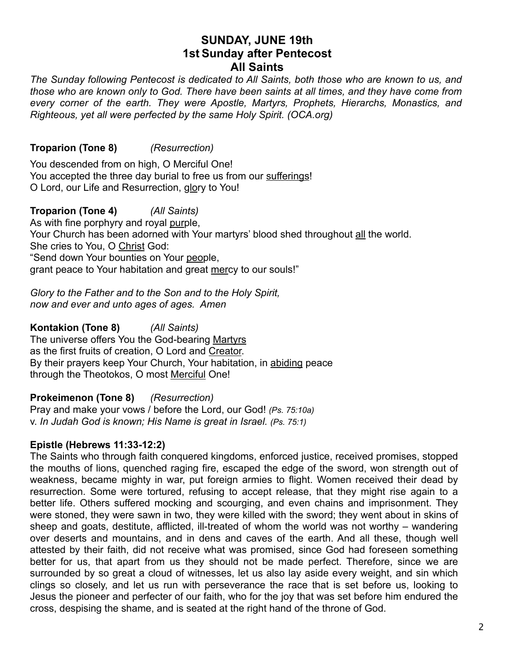# **SUNDAY, JUNE 19th 1st Sunday after Pentecost All Saints**

*The Sunday following Pentecost is dedicated to All Saints, both those who are known to us, and those who are known only to God. There have been saints at all times, and they have come from every corner of the earth. They were Apostle, Martyrs, Prophets, Hierarchs, Monastics, and Righteous, yet all were perfected by the same Holy Spirit. (OCA.org)* 

**Troparion (Tone 8)** *(Resurrection)*

You descended from on high, O Merciful One! You accepted the three day burial to free us from our sufferings! O Lord, our Life and Resurrection, glory to You!

**Troparion (Tone 4)** *(All Saints)* As with fine porphyry and royal purple, Your Church has been adorned with Your martyrs' blood shed throughout all the world. She cries to You, O Christ God: "Send down Your bounties on Your people, grant peace to Your habitation and great mercy to our souls!"

*Glory to the Father and to the Son and to the Holy Spirit, now and ever and unto ages of ages. Amen*

**Kontakion (Tone 8)** *(All Saints)* The universe offers You the God-bearing Martyrs as the first fruits of creation, O Lord and Creator. By their prayers keep Your Church, Your habitation, in abiding peace through the Theotokos, O most Merciful One!

**Prokeimenon (Tone 8)** *(Resurrection)* Pray and make your vows / before the Lord, our God! *(Ps. 75:10a)* v. *In Judah God is known; His Name is great in Israel. (Ps. 75:1)*

## **Epistle (Hebrews 11:33-12:2)**

The Saints who through faith conquered kingdoms, enforced justice, received promises, stopped the mouths of lions, quenched raging fire, escaped the edge of the sword, won strength out of weakness, became mighty in war, put foreign armies to flight. Women received their dead by resurrection. Some were tortured, refusing to accept release, that they might rise again to a better life. Others suffered mocking and scourging, and even chains and imprisonment. They were stoned, they were sawn in two, they were killed with the sword; they went about in skins of sheep and goats, destitute, afflicted, ill-treated of whom the world was not worthy – wandering over deserts and mountains, and in dens and caves of the earth. And all these, though well attested by their faith, did not receive what was promised, since God had foreseen something better for us, that apart from us they should not be made perfect. Therefore, since we are surrounded by so great a cloud of witnesses, let us also lay aside every weight, and sin which clings so closely, and let us run with perseverance the race that is set before us, looking to Jesus the pioneer and perfecter of our faith, who for the joy that was set before him endured the cross, despising the shame, and is seated at the right hand of the throne of God.